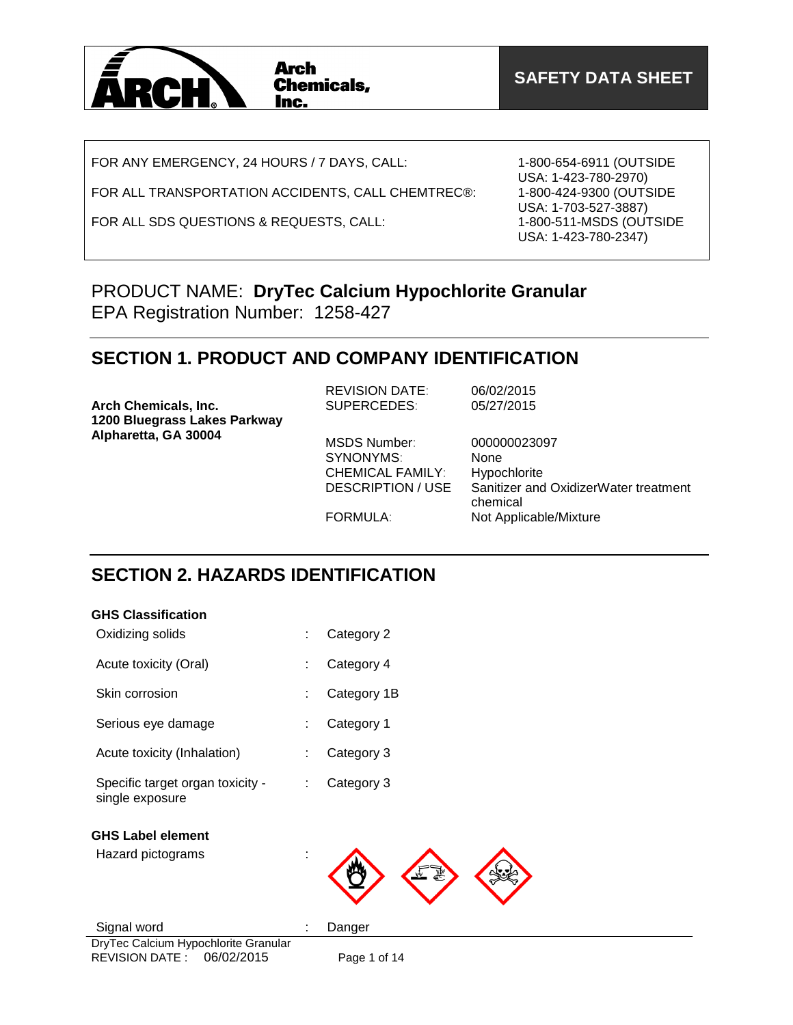

FOR ANY EMERGENCY, 24 HOURS / 7 DAYS, CALL:

FOR ALL TRANSPORTATION ACCIDENTS, CALL CHEMTREC®:

FOR ALL SDS QUESTIONS & REQUESTS, CALL:

1-800-654-6911 (OUTSIDE USA: 1-423-780-2970) 1-800-424-9300 (OUTSIDE USA: 1-703-527-3887) 1-800-511-MSDS (OUTSIDE USA: 1-423-780-2347)

### PRODUCT NAME: **DryTec Calcium Hypochlorite Granular** EPA Registration Number: 1258-427

### **SECTION 1. PRODUCT AND COMPANY IDENTIFICATION**

| <b>Arch Chemicals, Inc.</b>  | <b>REVISION DATE:</b>                                                     | 06/02/2015                                                                           |
|------------------------------|---------------------------------------------------------------------------|--------------------------------------------------------------------------------------|
| 1200 Bluegrass Lakes Parkway | SUPERCEDES:                                                               | 05/27/2015                                                                           |
| Alpharetta, GA 30004         | MSDS Number:<br>SYNONYMS:<br><b>CHEMICAL FAMILY:</b><br>DESCRIPTION / USE | 000000023097<br><b>None</b><br>Hypochlorite<br>Sanitizer and OxidizerWater treatment |

chemical FORMULA: Not Applicable/Mixture

# **SECTION 2. HAZARDS IDENTIFICATION**

| <b>GHS Classification</b>                                                   |   |              |
|-----------------------------------------------------------------------------|---|--------------|
| Oxidizing solids                                                            |   | Category 2   |
| Acute toxicity (Oral)                                                       |   | Category 4   |
| Skin corrosion                                                              |   | Category 1B  |
| Serious eye damage                                                          |   | Category 1   |
| Acute toxicity (Inhalation)                                                 |   | Category 3   |
| Specific target organ toxicity -<br>single exposure                         | ÷ | Category 3   |
| <b>GHS Label element</b>                                                    |   |              |
| Hazard pictograms                                                           |   |              |
| Signal word                                                                 |   | Danger       |
| DryTec Calcium Hypochlorite Granular<br>06/02/2015<br><b>REVISION DATE:</b> |   | Page 1 of 14 |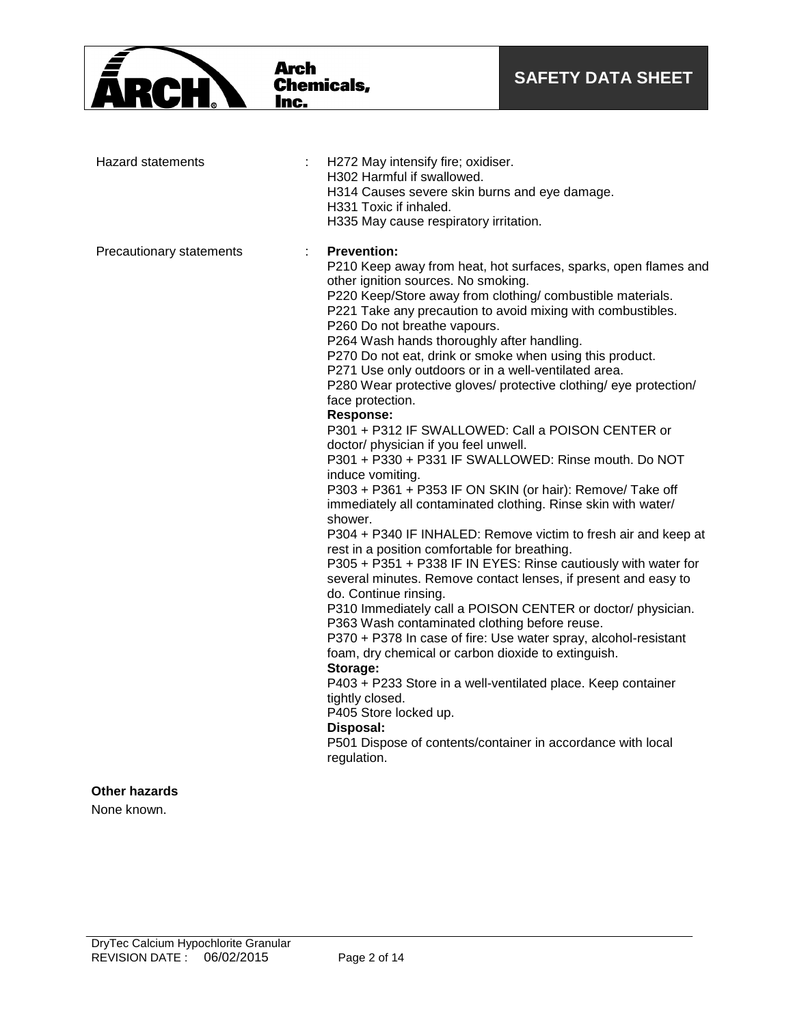|                                     | Arch<br><b>Chemicals,</b><br>Inc.                                                                                                                                                                                                                                                                                                                                                                                                                                                                                                                                                                                                                 | <b>SAFETY DATA SHEET</b>                                                                                                                                                                                                                                                                                                                                                                                                                                                                                                                                                                                                                                                                                                                                                                                                                                                                                                                                                            |
|-------------------------------------|---------------------------------------------------------------------------------------------------------------------------------------------------------------------------------------------------------------------------------------------------------------------------------------------------------------------------------------------------------------------------------------------------------------------------------------------------------------------------------------------------------------------------------------------------------------------------------------------------------------------------------------------------|-------------------------------------------------------------------------------------------------------------------------------------------------------------------------------------------------------------------------------------------------------------------------------------------------------------------------------------------------------------------------------------------------------------------------------------------------------------------------------------------------------------------------------------------------------------------------------------------------------------------------------------------------------------------------------------------------------------------------------------------------------------------------------------------------------------------------------------------------------------------------------------------------------------------------------------------------------------------------------------|
| <b>Hazard statements</b>            | H272 May intensify fire; oxidiser.<br>H302 Harmful if swallowed.<br>H314 Causes severe skin burns and eye damage.<br>H331 Toxic if inhaled.<br>H335 May cause respiratory irritation.                                                                                                                                                                                                                                                                                                                                                                                                                                                             |                                                                                                                                                                                                                                                                                                                                                                                                                                                                                                                                                                                                                                                                                                                                                                                                                                                                                                                                                                                     |
| Precautionary statements            | <b>Prevention:</b><br>other ignition sources. No smoking.<br>P260 Do not breathe vapours.<br>P264 Wash hands thoroughly after handling.<br>P270 Do not eat, drink or smoke when using this product.<br>P271 Use only outdoors or in a well-ventilated area.<br>face protection.<br><b>Response:</b><br>doctor/ physician if you feel unwell.<br>induce vomiting.<br>shower.<br>rest in a position comfortable for breathing.<br>do. Continue rinsing.<br>P363 Wash contaminated clothing before reuse.<br>foam, dry chemical or carbon dioxide to extinguish.<br>Storage:<br>tightly closed.<br>P405 Store locked up.<br>Disposal:<br>regulation. | P210 Keep away from heat, hot surfaces, sparks, open flames and<br>P220 Keep/Store away from clothing/ combustible materials.<br>P221 Take any precaution to avoid mixing with combustibles.<br>P280 Wear protective gloves/ protective clothing/ eye protection/<br>P301 + P312 IF SWALLOWED: Call a POISON CENTER or<br>P301 + P330 + P331 IF SWALLOWED: Rinse mouth. Do NOT<br>P303 + P361 + P353 IF ON SKIN (or hair): Remove/ Take off<br>immediately all contaminated clothing. Rinse skin with water/<br>P304 + P340 IF INHALED: Remove victim to fresh air and keep at<br>P305 + P351 + P338 IF IN EYES: Rinse cautiously with water for<br>several minutes. Remove contact lenses, if present and easy to<br>P310 Immediately call a POISON CENTER or doctor/ physician.<br>P370 + P378 In case of fire: Use water spray, alcohol-resistant<br>P403 + P233 Store in a well-ventilated place. Keep container<br>P501 Dispose of contents/container in accordance with local |
| <b>Other hazards</b><br>None known. |                                                                                                                                                                                                                                                                                                                                                                                                                                                                                                                                                                                                                                                   |                                                                                                                                                                                                                                                                                                                                                                                                                                                                                                                                                                                                                                                                                                                                                                                                                                                                                                                                                                                     |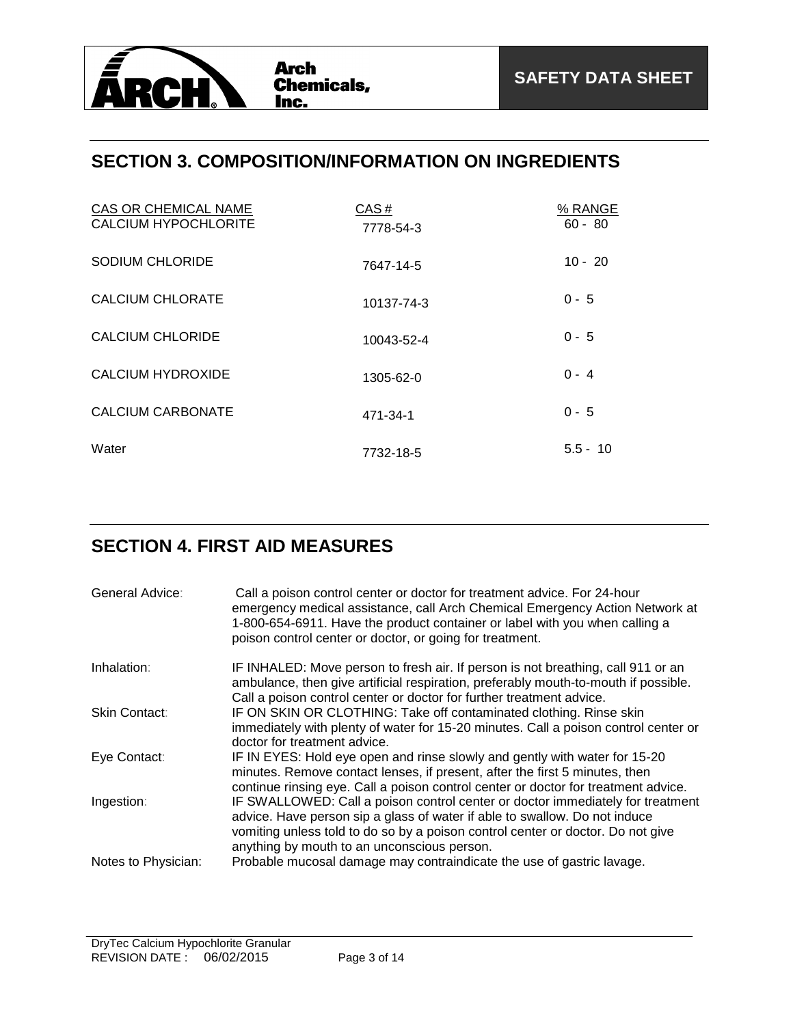

### **SECTION 3. COMPOSITION/INFORMATION ON INGREDIENTS**

| CAS OR CHEMICAL NAME<br><b>CALCIUM HYPOCHLORITE</b> | CAS#<br>7778-54-3 | % RANGE<br>$60 - 80$ |
|-----------------------------------------------------|-------------------|----------------------|
| <b>SODIUM CHLORIDE</b>                              | 7647-14-5         | $10 - 20$            |
| CALCIUM CHLORATE                                    | 10137-74-3        | $0 - 5$              |
| CALCIUM CHLORIDE                                    | 10043-52-4        | $0 - 5$              |
| CALCIUM HYDROXIDE                                   | 1305-62-0         | $0 - 4$              |
| CALCIUM CARBONATE                                   | 471-34-1          | $0 - 5$              |
| Water                                               | 7732-18-5         | $5.5 - 10$           |

### **SECTION 4. FIRST AID MEASURES**

| General Advice:     | Call a poison control center or doctor for treatment advice. For 24-hour<br>emergency medical assistance, call Arch Chemical Emergency Action Network at<br>1-800-654-6911. Have the product container or label with you when calling a<br>poison control center or doctor, or going for treatment. |
|---------------------|-----------------------------------------------------------------------------------------------------------------------------------------------------------------------------------------------------------------------------------------------------------------------------------------------------|
| Inhalation:         | IF INHALED: Move person to fresh air. If person is not breathing, call 911 or an<br>ambulance, then give artificial respiration, preferably mouth-to-mouth if possible.<br>Call a poison control center or doctor for further treatment advice.                                                     |
| Skin Contact:       | IF ON SKIN OR CLOTHING: Take off contaminated clothing. Rinse skin<br>immediately with plenty of water for 15-20 minutes. Call a poison control center or<br>doctor for treatment advice.                                                                                                           |
| Eye Contact:        | IF IN EYES: Hold eye open and rinse slowly and gently with water for 15-20<br>minutes. Remove contact lenses, if present, after the first 5 minutes, then<br>continue rinsing eye. Call a poison control center or doctor for treatment advice.                                                     |
| Ingestion:          | IF SWALLOWED: Call a poison control center or doctor immediately for treatment<br>advice. Have person sip a glass of water if able to swallow. Do not induce<br>vomiting unless told to do so by a poison control center or doctor. Do not give<br>anything by mouth to an unconscious person.      |
| Notes to Physician: | Probable mucosal damage may contraindicate the use of gastric lavage.                                                                                                                                                                                                                               |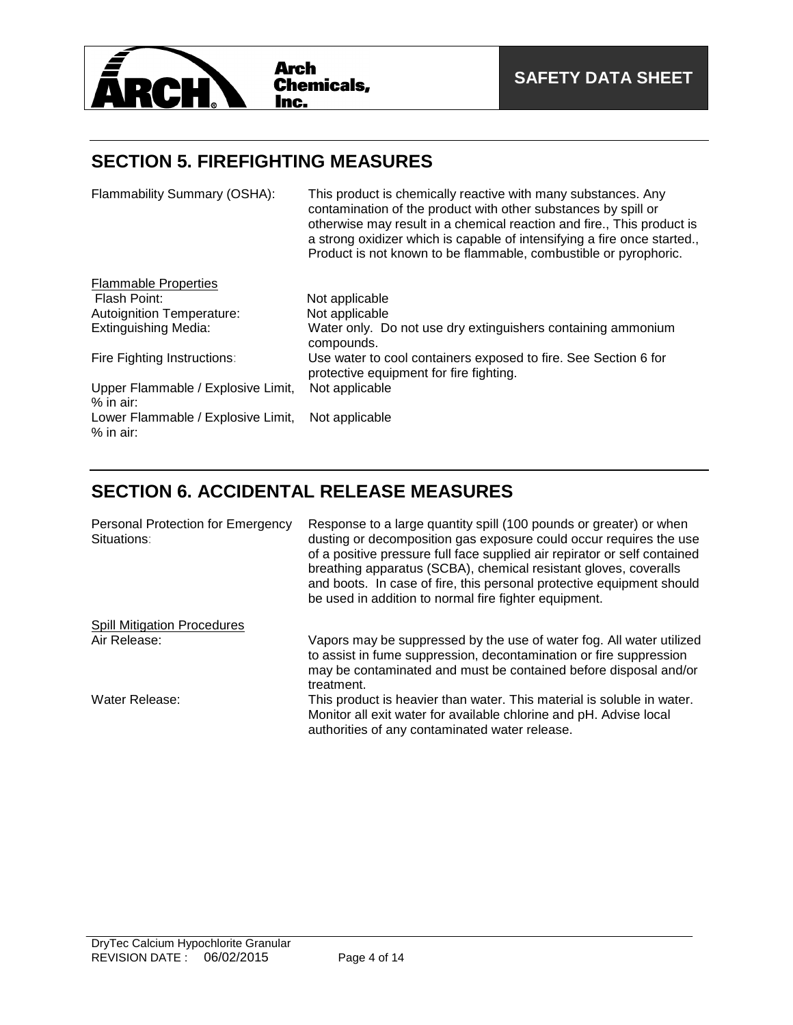

Lower Flammable / Explosive Limit,

% in air:

### **SECTION 5. FIREFIGHTING MEASURES**

Flammability Summary (OSHA): This product is chemically reactive with many substances. Any contamination of the product with other substances by spill or otherwise may result in a chemical reaction and fire., This product is a strong oxidizer which is capable of intensifying a fire once started., Product is not known to be flammable, combustible or pyrophoric. **Flammable Properties**<br>Flash Point: Not applicable<br>Not applicable Autoignition Temperature: Extinguishing Media: Water only. Do not use dry extinguishers containing ammonium compounds. Fire Fighting Instructions: Use water to cool containers exposed to fire. See Section 6 for protective equipment for fire fighting. Upper Flammable / Explosive Limit, % in air: Not applicable

### **SECTION 6. ACCIDENTAL RELEASE MEASURES**

Not applicable

| Personal Protection for Emergency<br>Situations: | Response to a large quantity spill (100 pounds or greater) or when<br>dusting or decomposition gas exposure could occur requires the use<br>of a positive pressure full face supplied air repirator or self contained<br>breathing apparatus (SCBA), chemical resistant gloves, coveralls<br>and boots. In case of fire, this personal protective equipment should<br>be used in addition to normal fire fighter equipment. |
|--------------------------------------------------|-----------------------------------------------------------------------------------------------------------------------------------------------------------------------------------------------------------------------------------------------------------------------------------------------------------------------------------------------------------------------------------------------------------------------------|
| <b>Spill Mitigation Procedures</b>               |                                                                                                                                                                                                                                                                                                                                                                                                                             |
| Air Release:                                     | Vapors may be suppressed by the use of water fog. All water utilized<br>to assist in fume suppression, decontamination or fire suppression<br>may be contaminated and must be contained before disposal and/or<br>treatment.                                                                                                                                                                                                |
| Water Release:                                   | This product is heavier than water. This material is soluble in water.<br>Monitor all exit water for available chlorine and pH. Advise local<br>authorities of any contaminated water release.                                                                                                                                                                                                                              |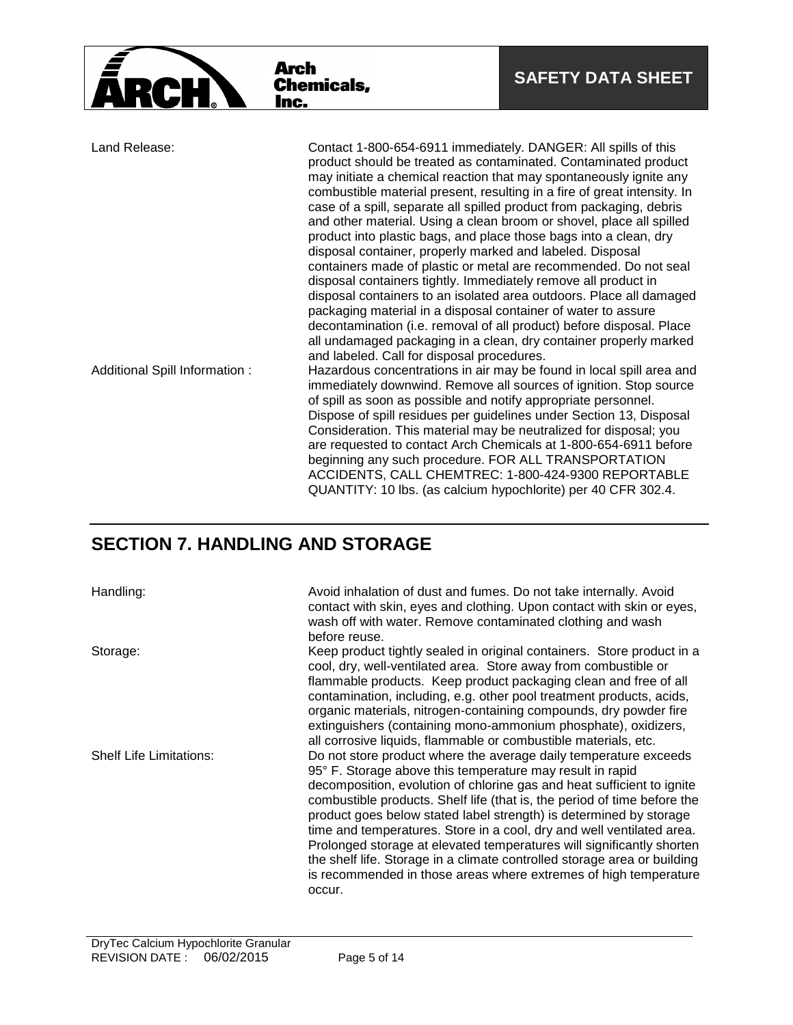|                                | Arch<br><b>Chemicals,</b><br>Inc.                                                                                                                                                                                                                                                                                                                                           | <b>SAFETY DATA SHEET</b>                                                                                                                                                                                                                                                                                                                                                                                                                                                                                                                                        |
|--------------------------------|-----------------------------------------------------------------------------------------------------------------------------------------------------------------------------------------------------------------------------------------------------------------------------------------------------------------------------------------------------------------------------|-----------------------------------------------------------------------------------------------------------------------------------------------------------------------------------------------------------------------------------------------------------------------------------------------------------------------------------------------------------------------------------------------------------------------------------------------------------------------------------------------------------------------------------------------------------------|
| Land Release:                  | Contact 1-800-654-6911 immediately. DANGER: All spills of this<br>case of a spill, separate all spilled product from packaging, debris<br>product into plastic bags, and place those bags into a clean, dry<br>disposal container, properly marked and labeled. Disposal<br>disposal containers tightly. Immediately remove all product in                                  | product should be treated as contaminated. Contaminated product<br>may initiate a chemical reaction that may spontaneously ignite any<br>combustible material present, resulting in a fire of great intensity. In<br>and other material. Using a clean broom or shovel, place all spilled<br>containers made of plastic or metal are recommended. Do not seal                                                                                                                                                                                                   |
| Additional Spill Information : | packaging material in a disposal container of water to assure<br>and labeled. Call for disposal procedures.<br>of spill as soon as possible and notify appropriate personnel.<br>Consideration. This material may be neutralized for disposal; you<br>beginning any such procedure. FOR ALL TRANSPORTATION<br>QUANTITY: 10 lbs. (as calcium hypochlorite) per 40 CFR 302.4. | disposal containers to an isolated area outdoors. Place all damaged<br>decontamination (i.e. removal of all product) before disposal. Place<br>all undamaged packaging in a clean, dry container properly marked<br>Hazardous concentrations in air may be found in local spill area and<br>immediately downwind. Remove all sources of ignition. Stop source<br>Dispose of spill residues per guidelines under Section 13, Disposal<br>are requested to contact Arch Chemicals at 1-800-654-6911 before<br>ACCIDENTS, CALL CHEMTREC: 1-800-424-9300 REPORTABLE |

### **SECTION 7. HANDLING AND STORAGE**

Handling: **Avoid inhalation of dust and fumes.** Do not take internally. Avoid contact with skin, eyes and clothing. Upon contact with skin or eyes, wash off with water. Remove contaminated clothing and wash before reuse.

Storage: Storage: Storage: Keep product tightly sealed in original containers. Store product in a cool, dry, well-ventilated area. Store away from combustible or flammable products. Keep product packaging clean and free of all contamination, including, e.g. other pool treatment products, acids, organic materials, nitrogen-containing compounds, dry powder fire extinguishers (containing mono-ammonium phosphate), oxidizers, all corrosive liquids, flammable or combustible materials, etc. Shelf Life Limitations: Do not store product where the average daily temperature exceeds 95° F. Storage above this temperature may result in rapid decomposition, evolution of chlorine gas and heat sufficient to ignite combustible products. Shelf life (that is, the period of time before the product goes below stated label strength) is determined by storage time and temperatures. Store in a cool, dry and well ventilated area. Prolonged storage at elevated temperatures will significantly shorten the shelf life. Storage in a climate controlled storage area or building is recommended in those areas where extremes of high temperature occur.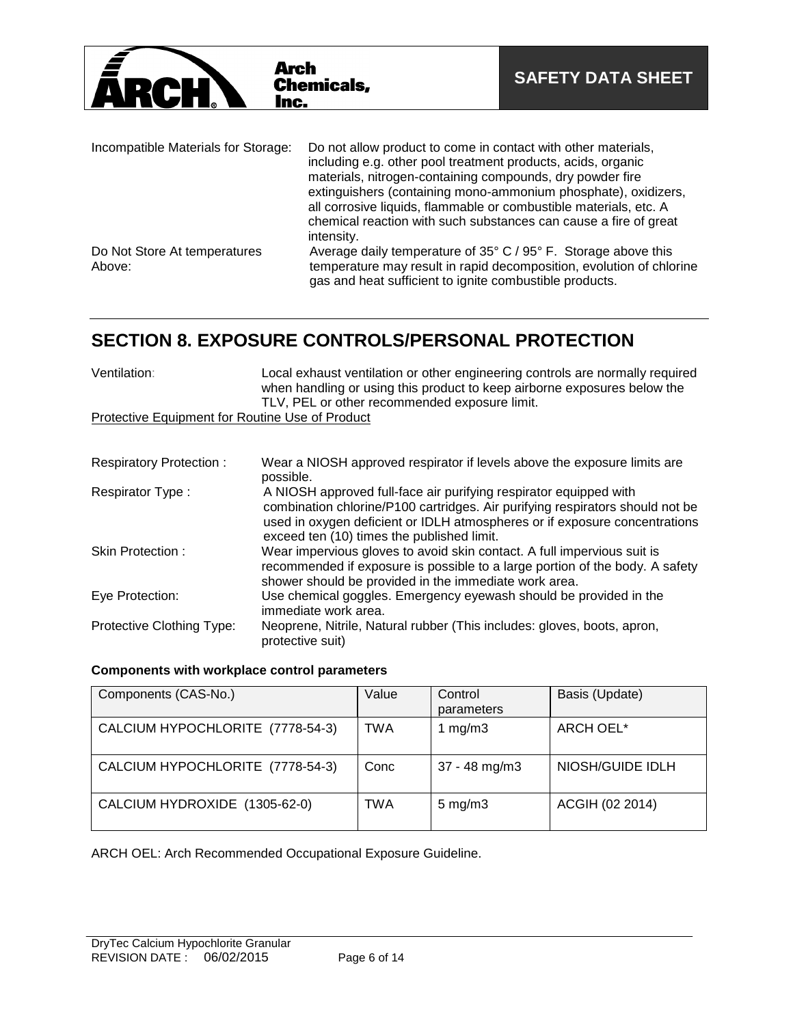

| Incompatible Materials for Storage:    | Do not allow product to come in contact with other materials,<br>including e.g. other pool treatment products, acids, organic<br>materials, nitrogen-containing compounds, dry powder fire<br>extinguishers (containing mono-ammonium phosphate), oxidizers,<br>all corrosive liquids, flammable or combustible materials, etc. A |
|----------------------------------------|-----------------------------------------------------------------------------------------------------------------------------------------------------------------------------------------------------------------------------------------------------------------------------------------------------------------------------------|
|                                        | chemical reaction with such substances can cause a fire of great<br>intensity.                                                                                                                                                                                                                                                    |
| Do Not Store At temperatures<br>Above: | Average daily temperature of 35° C / 95° F. Storage above this<br>temperature may result in rapid decomposition, evolution of chlorine<br>gas and heat sufficient to ignite combustible products.                                                                                                                                 |

# **SECTION 8. EXPOSURE CONTROLS/PERSONAL PROTECTION**

| Ventilation:                                           | Local exhaust ventilation or other engineering controls are normally required<br>when handling or using this product to keep airborne exposures below the<br>TLV, PEL or other recommended exposure limit. |
|--------------------------------------------------------|------------------------------------------------------------------------------------------------------------------------------------------------------------------------------------------------------------|
| <b>Protective Equipment for Routine Use of Product</b> |                                                                                                                                                                                                            |
|                                                        |                                                                                                                                                                                                            |
| <b>Respiratory Protection:</b>                         | Wear a NIOSH approved respirator if levels above the exposure limits are<br>possible.                                                                                                                      |

| <b>Respirator Type:</b>   | A NIOSH approved full-face air purifying respirator equipped with<br>combination chlorine/P100 cartridges. Air purifying respirators should not be<br>used in oxygen deficient or IDLH atmospheres or if exposure concentrations<br>exceed ten (10) times the published limit. |
|---------------------------|--------------------------------------------------------------------------------------------------------------------------------------------------------------------------------------------------------------------------------------------------------------------------------|
| Skin Protection:          | Wear impervious gloves to avoid skin contact. A full impervious suit is<br>recommended if exposure is possible to a large portion of the body. A safety<br>shower should be provided in the immediate work area.                                                               |
| Eye Protection:           | Use chemical goggles. Emergency eyewash should be provided in the<br>immediate work area.                                                                                                                                                                                      |
| Protective Clothing Type: | Neoprene, Nitrile, Natural rubber (This includes: gloves, boots, apron,<br>protective suit)                                                                                                                                                                                    |

### **Components with workplace control parameters**

| Components (CAS-No.)             | Value      | Control<br>parameters | Basis (Update)   |
|----------------------------------|------------|-----------------------|------------------|
| CALCIUM HYPOCHLORITE (7778-54-3) | <b>TWA</b> | 1 $mg/m3$             | ARCH OEL*        |
| CALCIUM HYPOCHLORITE (7778-54-3) | Conc       | 37 - 48 mg/m3         | NIOSH/GUIDE IDLH |
| CALCIUM HYDROXIDE (1305-62-0)    | TWA        | $5 \text{ mg/m}$ 3    | ACGIH (02 2014)  |

ARCH OEL: Arch Recommended Occupational Exposure Guideline.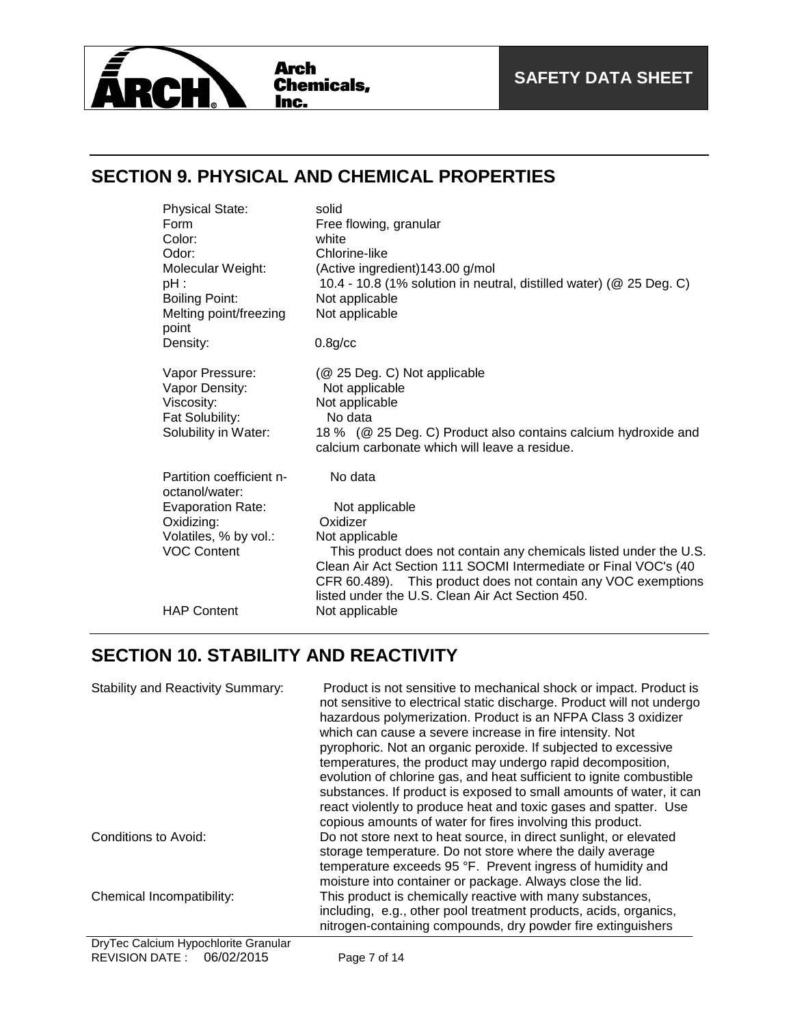

# **SECTION 9. PHYSICAL AND CHEMICAL PROPERTIES**

| <b>Physical State:</b>                     | solid                                                                                                           |
|--------------------------------------------|-----------------------------------------------------------------------------------------------------------------|
| Form                                       | Free flowing, granular                                                                                          |
| Color:                                     | white                                                                                                           |
| Odor:                                      | Chlorine-like                                                                                                   |
| Molecular Weight:<br>pH :                  | (Active ingredient) 143.00 g/mol<br>10.4 - 10.8 (1% solution in neutral, distilled water) (@ 25 Deg. C)         |
| <b>Boiling Point:</b>                      | Not applicable                                                                                                  |
| Melting point/freezing<br>point            | Not applicable                                                                                                  |
| Density:                                   | $0.8$ g/cc                                                                                                      |
| Vapor Pressure:<br>Vapor Density:          | (@ 25 Deg. C) Not applicable<br>Not applicable                                                                  |
| Viscosity:<br>Fat Solubility:              | Not applicable<br>No data                                                                                       |
| Solubility in Water:                       | 18 % (@ 25 Deg. C) Product also contains calcium hydroxide and<br>calcium carbonate which will leave a residue. |
| Partition coefficient n-<br>octanol/water: | No data                                                                                                         |
| <b>Evaporation Rate:</b>                   | Not applicable                                                                                                  |
| Oxidizing:                                 | Oxidizer                                                                                                        |
| Volatiles, % by vol.:                      | Not applicable                                                                                                  |
| <b>VOC Content</b>                         | This product does not contain any chemicals listed under the U.S.                                               |
|                                            | Clean Air Act Section 111 SOCMI Intermediate or Final VOC's (40                                                 |
|                                            | CFR 60.489). This product does not contain any VOC exemptions                                                   |
|                                            | listed under the U.S. Clean Air Act Section 450.                                                                |
| <b>HAP Content</b>                         | Not applicable                                                                                                  |

# **SECTION 10. STABILITY AND REACTIVITY**

| <b>Stability and Reactivity Summary:</b> | Product is not sensitive to mechanical shock or impact. Product is<br>not sensitive to electrical static discharge. Product will not undergo<br>hazardous polymerization. Product is an NFPA Class 3 oxidizer<br>which can cause a severe increase in fire intensity. Not<br>pyrophoric. Not an organic peroxide. If subjected to excessive<br>temperatures, the product may undergo rapid decomposition,<br>evolution of chlorine gas, and heat sufficient to ignite combustible<br>substances. If product is exposed to small amounts of water, it can<br>react violently to produce heat and toxic gases and spatter. Use<br>copious amounts of water for fires involving this product. |
|------------------------------------------|--------------------------------------------------------------------------------------------------------------------------------------------------------------------------------------------------------------------------------------------------------------------------------------------------------------------------------------------------------------------------------------------------------------------------------------------------------------------------------------------------------------------------------------------------------------------------------------------------------------------------------------------------------------------------------------------|
| Conditions to Avoid:                     | Do not store next to heat source, in direct sunlight, or elevated<br>storage temperature. Do not store where the daily average<br>temperature exceeds 95 °F. Prevent ingress of humidity and<br>moisture into container or package. Always close the lid.                                                                                                                                                                                                                                                                                                                                                                                                                                  |
| Chemical Incompatibility:                | This product is chemically reactive with many substances,<br>including, e.g., other pool treatment products, acids, organics,<br>nitrogen-containing compounds, dry powder fire extinguishers                                                                                                                                                                                                                                                                                                                                                                                                                                                                                              |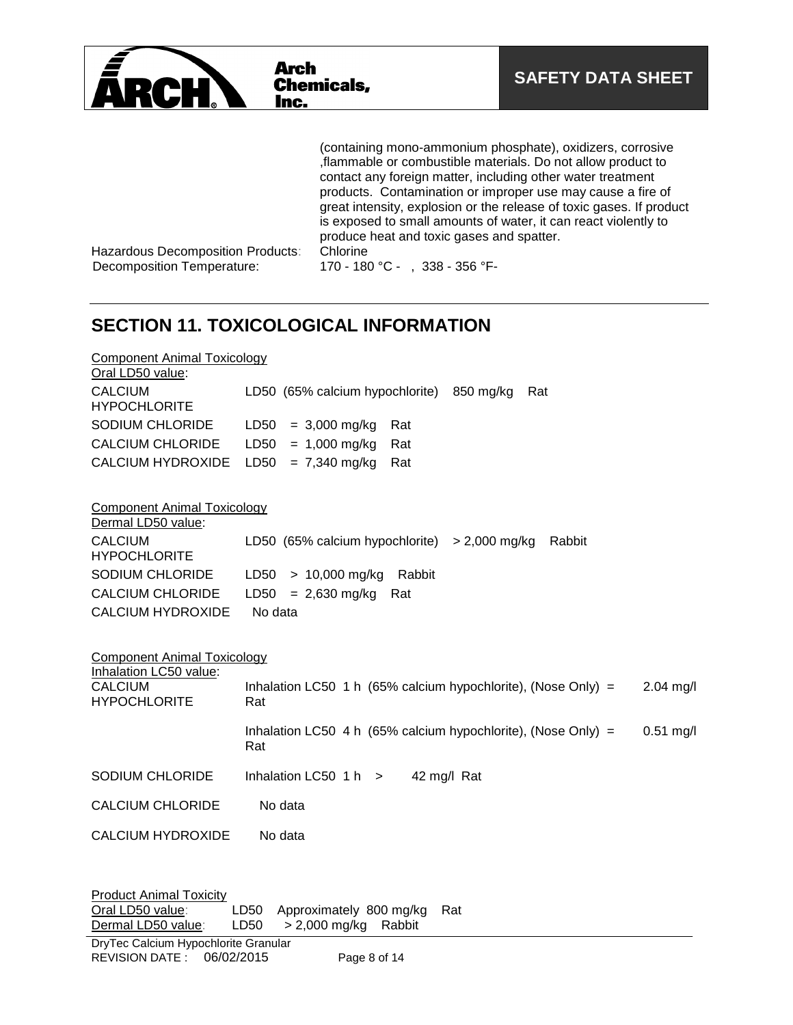

(containing mono-ammonium phosphate), oxidizers, corrosive ,flammable or combustible materials. Do not allow product to contact any foreign matter, including other water treatment products. Contamination or improper use may cause a fire of great intensity, explosion or the release of toxic gases. If product is exposed to small amounts of water, it can react violently to produce heat and toxic gases and spatter.

Hazardous Decomposition Products: Chlorine<br>Decomposition Temperature: 170 - 180

170 - 180 °C - , 338 - 356 °F-

# **SECTION 11. TOXICOLOGICAL INFORMATION**

| <b>Component Animal Toxicology</b><br>Oral LD50 value:                       |                                                                                     |
|------------------------------------------------------------------------------|-------------------------------------------------------------------------------------|
| <b>CALCIUM</b><br><b>HYPOCHLORITE</b>                                        | LD50 (65% calcium hypochlorite)<br>850 mg/kg<br>Rat                                 |
| SODIUM CHLORIDE                                                              | LD50<br>$= 3,000$ mg/kg<br>Rat                                                      |
| <b>CALCIUM CHLORIDE</b>                                                      | LD50<br>$= 1,000$ mg/kg<br>Rat                                                      |
| <b>CALCIUM HYDROXIDE</b>                                                     | LD50<br>$= 7,340$ mg/kg<br>Rat                                                      |
| <b>Component Animal Toxicology</b><br>Dermal LD50 value:                     |                                                                                     |
| <b>CALCIUM</b><br><b>HYPOCHLORITE</b>                                        | LD50 (65% calcium hypochlorite) $>$ 2,000 mg/kg<br>Rabbit                           |
| SODIUM CHLORIDE                                                              | $> 10,000$ mg/kg<br>LD50<br>Rabbit                                                  |
| <b>CALCIUM CHLORIDE</b>                                                      | LD50<br>$= 2,630$ mg/kg<br>Rat                                                      |
| <b>CALCIUM HYDROXIDE</b>                                                     | No data                                                                             |
| <b>Component Animal Toxicology</b><br>Inhalation LC50 value:                 |                                                                                     |
| <b>CALCIUM</b><br><b>HYPOCHLORITE</b>                                        | Inhalation LC50 1 h (65% calcium hypochlorite), (Nose Only) =<br>$2.04$ mg/l<br>Rat |
|                                                                              | Inhalation LC50 4 h (65% calcium hypochlorite), (Nose Only) =<br>$0.51$ mg/l<br>Rat |
| SODIUM CHLORIDE                                                              | Inhalation LC50 $1 h$ ><br>42 mg/l Rat                                              |
| <b>CALCIUM CHLORIDE</b>                                                      | No data                                                                             |
| <b>CALCIUM HYDROXIDE</b>                                                     | No data                                                                             |
| <b>Product Animal Toxicity</b><br>Oral LD50 value:<br>Davaral I DEO Galica c | LD50 Approximately 800 mg/kg<br>Rat<br>$IPLQ = QQQ \cos(kx)$                        |

Dermal LD50 value: LD50 > 2,000 mg/kg Rabbit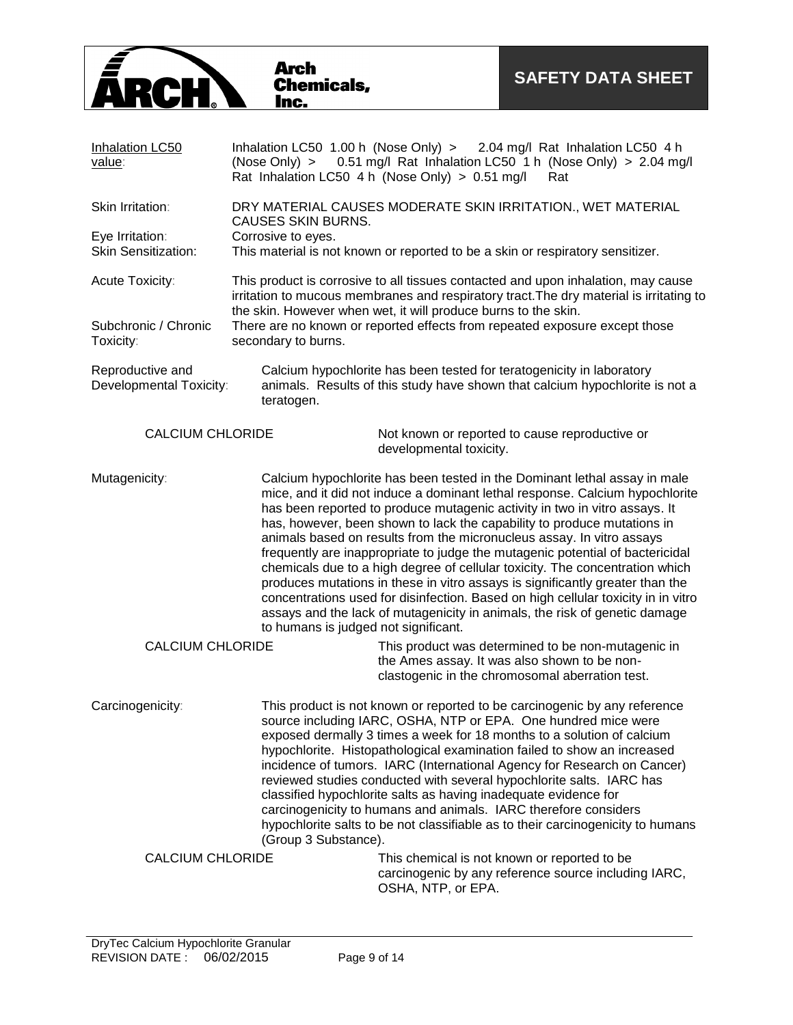

| Inhalation LC50<br>value:                     | (Nose Only) >                                                                                                                                                                                                                                  | Inhalation LC50 1.00 h (Nose Only) > 2.04 mg/l Rat Inhalation LC50 4 h<br>0.51 mg/l Rat Inhalation LC50 1 h (Nose Only) > 2.04 mg/l<br>Rat Inhalation LC50 4 h (Nose Only) > 0.51 mg/l<br>Rat                                                                                                                                                                                                                                                                                                                                                                                                                                                                                                                                                                                                                    |  |
|-----------------------------------------------|------------------------------------------------------------------------------------------------------------------------------------------------------------------------------------------------------------------------------------------------|------------------------------------------------------------------------------------------------------------------------------------------------------------------------------------------------------------------------------------------------------------------------------------------------------------------------------------------------------------------------------------------------------------------------------------------------------------------------------------------------------------------------------------------------------------------------------------------------------------------------------------------------------------------------------------------------------------------------------------------------------------------------------------------------------------------|--|
| Skin Irritation:                              | DRY MATERIAL CAUSES MODERATE SKIN IRRITATION., WET MATERIAL<br><b>CAUSES SKIN BURNS.</b>                                                                                                                                                       |                                                                                                                                                                                                                                                                                                                                                                                                                                                                                                                                                                                                                                                                                                                                                                                                                  |  |
| Eye Irritation:<br><b>Skin Sensitization:</b> | Corrosive to eyes.<br>This material is not known or reported to be a skin or respiratory sensitizer.                                                                                                                                           |                                                                                                                                                                                                                                                                                                                                                                                                                                                                                                                                                                                                                                                                                                                                                                                                                  |  |
| Acute Toxicity:                               | This product is corrosive to all tissues contacted and upon inhalation, may cause<br>irritation to mucous membranes and respiratory tract. The dry material is irritating to<br>the skin. However when wet, it will produce burns to the skin. |                                                                                                                                                                                                                                                                                                                                                                                                                                                                                                                                                                                                                                                                                                                                                                                                                  |  |
| Subchronic / Chronic<br>Toxicity:             | secondary to burns.                                                                                                                                                                                                                            | There are no known or reported effects from repeated exposure except those                                                                                                                                                                                                                                                                                                                                                                                                                                                                                                                                                                                                                                                                                                                                       |  |
| Reproductive and<br>Developmental Toxicity:   | teratogen.                                                                                                                                                                                                                                     | Calcium hypochlorite has been tested for teratogenicity in laboratory<br>animals. Results of this study have shown that calcium hypochlorite is not a                                                                                                                                                                                                                                                                                                                                                                                                                                                                                                                                                                                                                                                            |  |
| <b>CALCIUM CHLORIDE</b>                       |                                                                                                                                                                                                                                                | Not known or reported to cause reproductive or<br>developmental toxicity.                                                                                                                                                                                                                                                                                                                                                                                                                                                                                                                                                                                                                                                                                                                                        |  |
| Mutagenicity:                                 | to humans is judged not significant.                                                                                                                                                                                                           | Calcium hypochlorite has been tested in the Dominant lethal assay in male<br>mice, and it did not induce a dominant lethal response. Calcium hypochlorite<br>has been reported to produce mutagenic activity in two in vitro assays. It<br>has, however, been shown to lack the capability to produce mutations in<br>animals based on results from the micronucleus assay. In vitro assays<br>frequently are inappropriate to judge the mutagenic potential of bactericidal<br>chemicals due to a high degree of cellular toxicity. The concentration which<br>produces mutations in these in vitro assays is significantly greater than the<br>concentrations used for disinfection. Based on high cellular toxicity in in vitro<br>assays and the lack of mutagenicity in animals, the risk of genetic damage |  |
| <b>CALCIUM CHLORIDE</b>                       |                                                                                                                                                                                                                                                | This product was determined to be non-mutagenic in<br>the Ames assay. It was also shown to be non-<br>clastogenic in the chromosomal aberration test.                                                                                                                                                                                                                                                                                                                                                                                                                                                                                                                                                                                                                                                            |  |
| Carcinogenicity:                              | (Group 3 Substance).                                                                                                                                                                                                                           | This product is not known or reported to be carcinogenic by any reference<br>source including IARC, OSHA, NTP or EPA. One hundred mice were<br>exposed dermally 3 times a week for 18 months to a solution of calcium<br>hypochlorite. Histopathological examination failed to show an increased<br>incidence of tumors. IARC (International Agency for Research on Cancer)<br>reviewed studies conducted with several hypochlorite salts. IARC has<br>classified hypochlorite salts as having inadequate evidence for<br>carcinogenicity to humans and animals. IARC therefore considers<br>hypochlorite salts to be not classifiable as to their carcinogenicity to humans                                                                                                                                     |  |
| <b>CALCIUM CHLORIDE</b>                       |                                                                                                                                                                                                                                                | This chemical is not known or reported to be<br>carcinogenic by any reference source including IARC,<br>OSHA, NTP, or EPA.                                                                                                                                                                                                                                                                                                                                                                                                                                                                                                                                                                                                                                                                                       |  |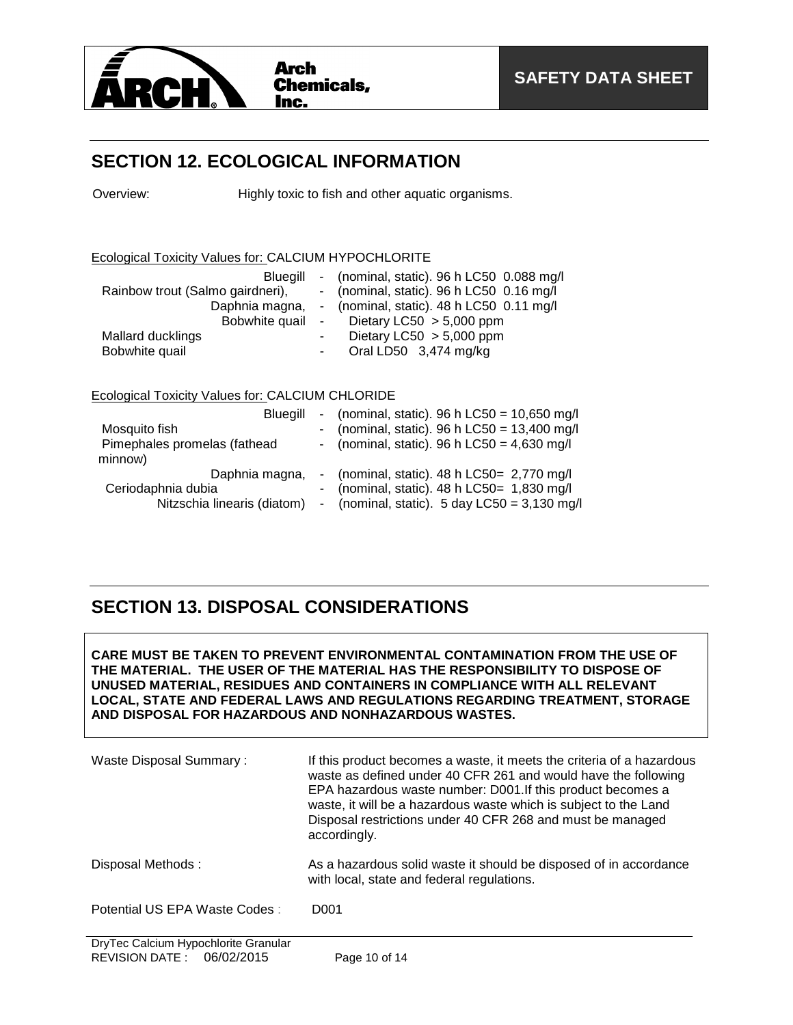

### **SECTION 12. ECOLOGICAL INFORMATION**

Overview: Highly toxic to fish and other aquatic organisms.

#### Ecological Toxicity Values for: CALCIUM HYPOCHLORITE

| Bluegill                         |            | - (nominal, static). $96 h$ LC50 0.088 mg/l             |
|----------------------------------|------------|---------------------------------------------------------|
| Rainbow trout (Salmo gairdneri), |            | - (nominal, static). $96 h$ LC50 0.16 mg/l              |
|                                  |            | Daphnia magna, - (nominal, static). 48 h LC50 0.11 mg/l |
| Bobwhite quail                   | $\sim 100$ | Dietary LC50 $> 5,000$ ppm                              |
| Mallard ducklings                |            | Dietary LC50 $> 5,000$ ppm                              |
| Bobwhite quail                   |            | Oral LD50 3,474 mg/kg                                   |

#### Ecological Toxicity Values for: CALCIUM CHLORIDE

| Bluegill<br>Mosquito fish<br>Pimephales promelas (fathead<br>minnow) | - (nominal, static). 96 h LC50 = $10,650$ mg/l<br>- (nominal, static). 96 h $LC50 = 13,400$ mg/l<br>- (nominal, static). 96 h $LC50 = 4,630$ mg/l       |
|----------------------------------------------------------------------|---------------------------------------------------------------------------------------------------------------------------------------------------------|
| Daphnia magna,<br>Ceriodaphnia dubia<br>Nitzschia linearis (diatom)  | - (nominal, static). $48 h$ LC50= 2,770 mg/l<br>- (nominal, static). $48 h$ LC50= 1,830 mg/l<br>- (nominal, static). $5 \text{ day }$ LC50 = 3,130 mg/l |

### **SECTION 13. DISPOSAL CONSIDERATIONS**

**CARE MUST BE TAKEN TO PREVENT ENVIRONMENTAL CONTAMINATION FROM THE USE OF THE MATERIAL. THE USER OF THE MATERIAL HAS THE RESPONSIBILITY TO DISPOSE OF UNUSED MATERIAL, RESIDUES AND CONTAINERS IN COMPLIANCE WITH ALL RELEVANT LOCAL, STATE AND FEDERAL LAWS AND REGULATIONS REGARDING TREATMENT, STORAGE AND DISPOSAL FOR HAZARDOUS AND NONHAZARDOUS WASTES.** 

| Waste Disposal Summary:       | If this product becomes a waste, it meets the criteria of a hazardous<br>waste as defined under 40 CFR 261 and would have the following<br>EPA hazardous waste number: D001. If this product becomes a<br>waste, it will be a hazardous waste which is subject to the Land<br>Disposal restrictions under 40 CFR 268 and must be managed<br>accordingly. |
|-------------------------------|----------------------------------------------------------------------------------------------------------------------------------------------------------------------------------------------------------------------------------------------------------------------------------------------------------------------------------------------------------|
| Disposal Methods:             | As a hazardous solid waste it should be disposed of in accordance<br>with local, state and federal regulations.                                                                                                                                                                                                                                          |
| Potential US EPA Waste Codes: | D <sub>001</sub>                                                                                                                                                                                                                                                                                                                                         |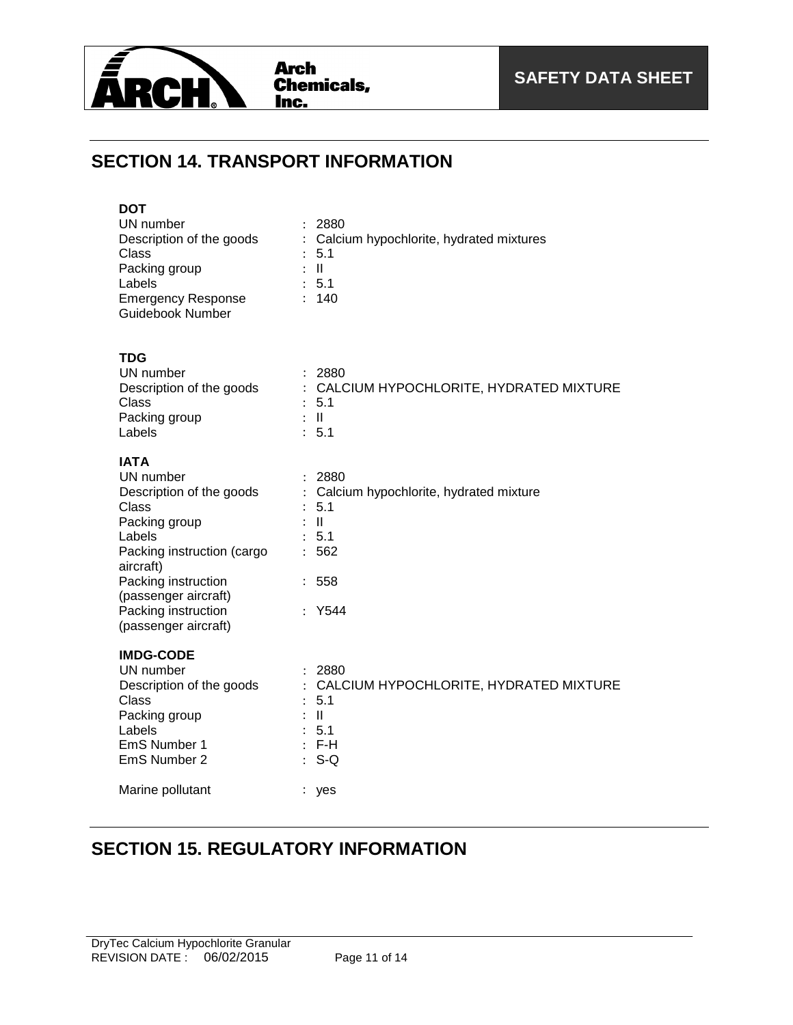

# **SECTION 14. TRANSPORT INFORMATION**

| <b>DOT</b><br>UN number<br>Description of the goods<br>Class<br>Packing group<br>Labels<br><b>Emergency Response</b><br>Guidebook Number                                                                                          | 2880<br>Calcium hypochlorite, hydrated mixtures<br>5.1<br>$\mathbb{R}$ $\mathbb{R}$<br>: 5.1<br>: 140                                                                                                       |
|-----------------------------------------------------------------------------------------------------------------------------------------------------------------------------------------------------------------------------------|-------------------------------------------------------------------------------------------------------------------------------------------------------------------------------------------------------------|
| <b>TDG</b><br>UN number<br>Description of the goods<br><b>Class</b><br>Packing group<br>Labels                                                                                                                                    | : 2880<br>: CALCIUM HYPOCHLORITE, HYDRATED MIXTURE<br>: 5.1<br>$\mathbf{H}$ :<br>: 5.1                                                                                                                      |
| <b>IATA</b><br>UN number<br>Description of the goods<br>Class<br>Packing group<br>Labels<br>Packing instruction (cargo<br>aircraft)<br>Packing instruction<br>(passenger aircraft)<br>Packing instruction<br>(passenger aircraft) | : 2880<br>Calcium hypochlorite, hydrated mixture<br>: 5.1<br>$\therefore$ $\parallel$<br>: 5.1<br>562<br>$\mathbb{R}^{\mathbb{Z}}$<br>558<br>$\mathbb{R}^{\mathbb{Z}}$<br>Y544<br>$\mathbb{R}^{\mathbb{Z}}$ |
| <b>IMDG-CODE</b><br>UN number<br>Description of the goods<br>Class<br>Packing group<br>Labels<br>EmS Number 1<br>EmS Number 2                                                                                                     | 2880<br>: CALCIUM HYPOCHLORITE, HYDRATED MIXTURE<br>5.1<br>$\ddot{\phantom{a}}$<br>$\mathbf{I}$<br>: 5.1<br>$:$ F-H<br>$S-Q$                                                                                |
| Marine pollutant                                                                                                                                                                                                                  | $\mathbb{Z}^{\mathbb{Z}}$<br>yes                                                                                                                                                                            |

# **SECTION 15. REGULATORY INFORMATION**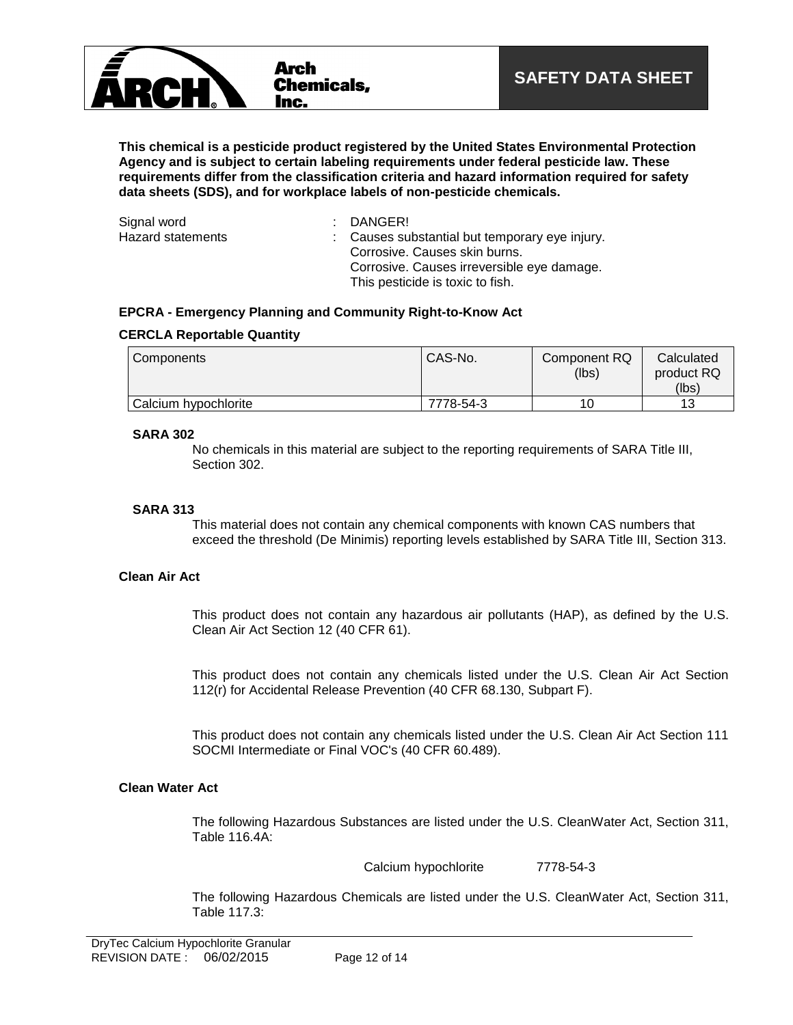

**This chemical is a pesticide product registered by the United States Environmental Protection Agency and is subject to certain labeling requirements under federal pesticide law. These requirements differ from the classification criteria and hazard information required for safety data sheets (SDS), and for workplace labels of non-pesticide chemicals.**

| Signal word       | : DANGER!                                                                                                                     |
|-------------------|-------------------------------------------------------------------------------------------------------------------------------|
| Hazard statements | : Causes substantial but temporary eye injury.<br>Corrosive, Causes skin burns.<br>Corrosive. Causes irreversible eye damage. |
|                   | This pesticide is toxic to fish.                                                                                              |

#### **EPCRA - Emergency Planning and Community Right-to-Know Act**

#### **CERCLA Reportable Quantity**

| Components           | CAS-No.   | Component RQ<br>(lbs) | Calculated<br>product RQ |
|----------------------|-----------|-----------------------|--------------------------|
|                      |           |                       | (lbs)                    |
| Calcium hypochlorite | 7778-54-3 |                       |                          |

#### **SARA 302**

No chemicals in this material are subject to the reporting requirements of SARA Title III, Section 302.

#### **SARA 313**

This material does not contain any chemical components with known CAS numbers that exceed the threshold (De Minimis) reporting levels established by SARA Title III, Section 313.

#### **Clean Air Act**

This product does not contain any hazardous air pollutants (HAP), as defined by the U.S. Clean Air Act Section 12 (40 CFR 61).

This product does not contain any chemicals listed under the U.S. Clean Air Act Section 112(r) for Accidental Release Prevention (40 CFR 68.130, Subpart F).

This product does not contain any chemicals listed under the U.S. Clean Air Act Section 111 SOCMI Intermediate or Final VOC's (40 CFR 60.489).

#### **Clean Water Act**

The following Hazardous Substances are listed under the U.S. CleanWater Act, Section 311, Table 116.4A:

Calcium hypochlorite 7778-54-3

The following Hazardous Chemicals are listed under the U.S. CleanWater Act, Section 311, Table 117.3: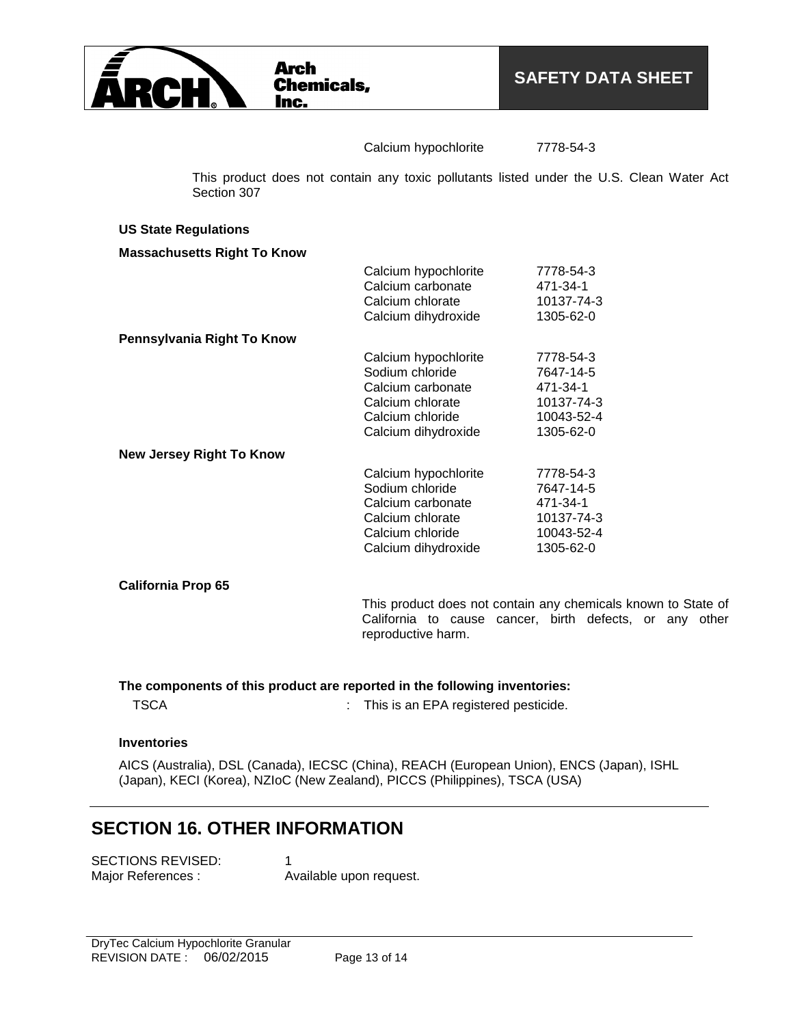

#### Calcium hypochlorite 7778-54-3

This product does not contain any toxic pollutants listed under the U.S. Clean Water Act Section 307

#### **US State Regulations**

#### **Massachusetts Right To Know**

|                                 | Calcium hypochlorite | 7778-54-3  |
|---------------------------------|----------------------|------------|
|                                 | Calcium carbonate    | 471-34-1   |
|                                 | Calcium chlorate     | 10137-74-3 |
|                                 | Calcium dihydroxide  | 1305-62-0  |
| Pennsylvania Right To Know      |                      |            |
|                                 | Calcium hypochlorite | 7778-54-3  |
|                                 | Sodium chloride      | 7647-14-5  |
|                                 | Calcium carbonate    | 471-34-1   |
|                                 | Calcium chlorate     | 10137-74-3 |
|                                 | Calcium chloride     | 10043-52-4 |
|                                 | Calcium dihydroxide  | 1305-62-0  |
| <b>New Jersey Right To Know</b> |                      |            |
|                                 | Calcium hypochlorite | 7778-54-3  |
|                                 | Sodium chloride      | 7647-14-5  |
|                                 | Calcium carbonate    | 471-34-1   |
|                                 | Calcium chlorate     | 10137-74-3 |
|                                 | Calcium chloride     | 10043-52-4 |
|                                 | Calcium dihydroxide  | 1305-62-0  |
|                                 |                      |            |

**California Prop 65**

This product does not contain any chemicals known to State of California to cause cancer, birth defects, or any other reproductive harm.

**The components of this product are reported in the following inventories:**

TSCA : This is an EPA registered pesticide.

#### **Inventories**

AICS (Australia), DSL (Canada), IECSC (China), REACH (European Union), ENCS (Japan), ISHL (Japan), KECI (Korea), NZIoC (New Zealand), PICCS (Philippines), TSCA (USA)

### **SECTION 16. OTHER INFORMATION**

| SECTIONS REVISED:  |                         |
|--------------------|-------------------------|
| Major References : | Available upon request. |